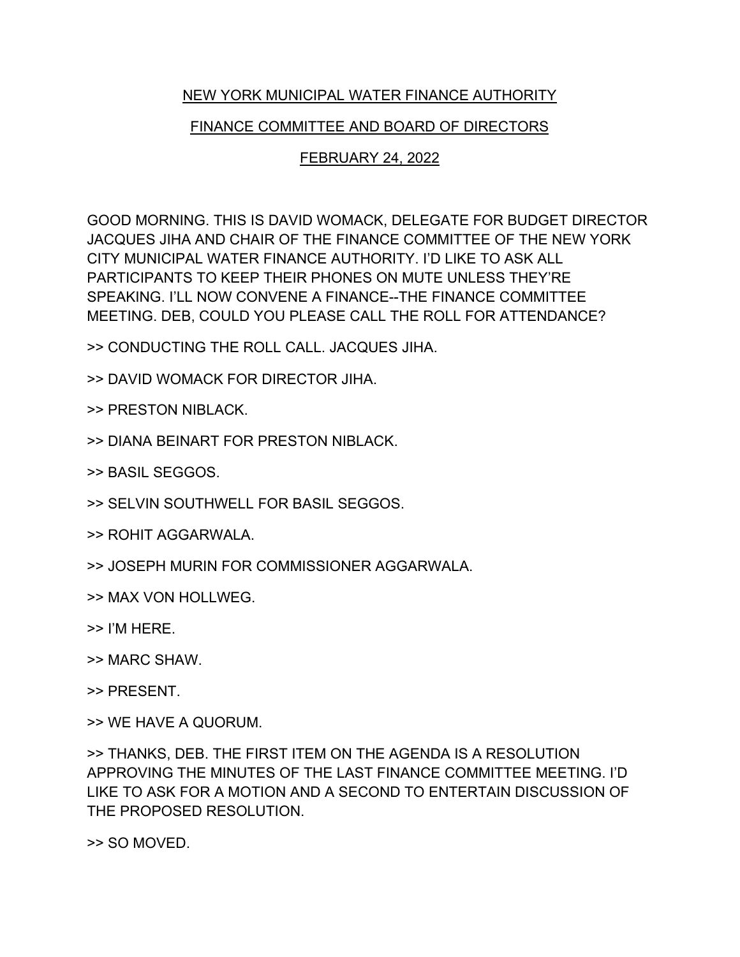## NEW YORK MUNICIPAL WATER FINANCE AUTHORITY

## FINANCE COMMITTEE AND BOARD OF DIRECTORS

## FEBRUARY 24, 2022

GOOD MORNING. THIS IS DAVID WOMACK, DELEGATE FOR BUDGET DIRECTOR JACQUES JIHA AND CHAIR OF THE FINANCE COMMITTEE OF THE NEW YORK CITY MUNICIPAL WATER FINANCE AUTHORITY. I'D LIKE TO ASK ALL PARTICIPANTS TO KEEP THEIR PHONES ON MUTE UNLESS THEY'RE SPEAKING. I'LL NOW CONVENE A FINANCE--THE FINANCE COMMITTEE MEETING. DEB, COULD YOU PLEASE CALL THE ROLL FOR ATTENDANCE?

>> CONDUCTING THE ROLL CALL. JACQUES JIHA.

>> DAVID WOMACK FOR DIRECTOR JIHA.

>> PRESTON NIBLACK.

>> DIANA BEINART FOR PRESTON NIBLACK.

>> BASIL SEGGOS.

>> SELVIN SOUTHWELL FOR BASIL SEGGOS.

>> ROHIT AGGARWALA.

>> JOSEPH MURIN FOR COMMISSIONER AGGARWALA.

>> MAX VON HOLLWEG.

>> I'M HERE.

>> MARC SHAW.

>> PRESENT.

>> WE HAVE A QUORUM.

>> THANKS, DEB. THE FIRST ITEM ON THE AGENDA IS A RESOLUTION APPROVING THE MINUTES OF THE LAST FINANCE COMMITTEE MEETING. I'D LIKE TO ASK FOR A MOTION AND A SECOND TO ENTERTAIN DISCUSSION OF THE PROPOSED RESOLUTION.

>> SO MOVED.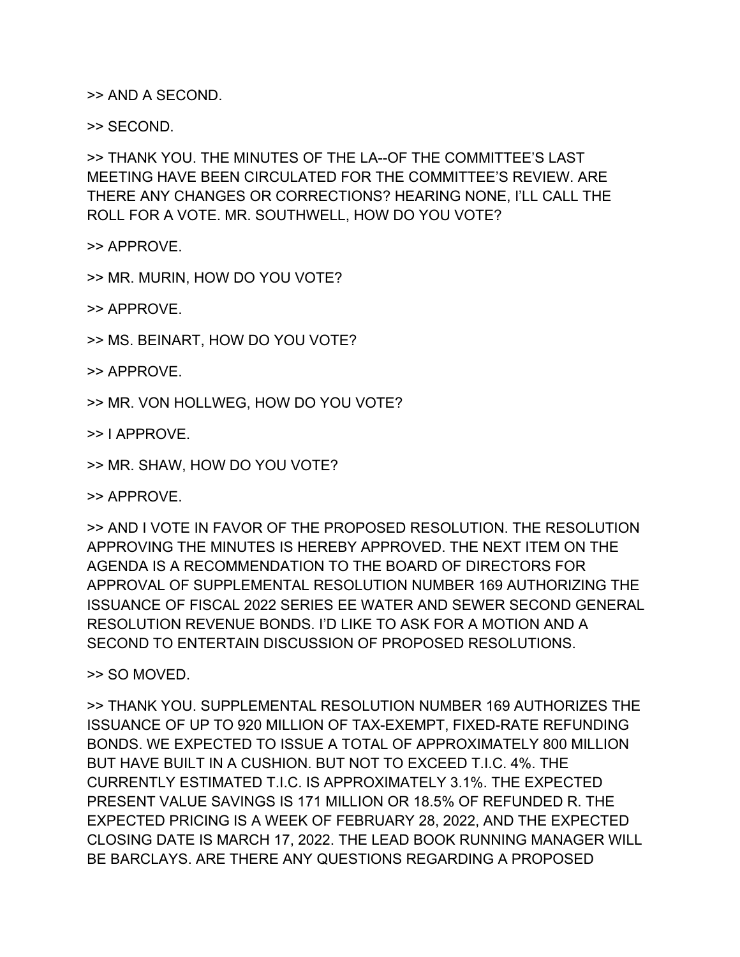>> AND A SECOND.

>> SECOND.

>> THANK YOU. THE MINUTES OF THE LA--OF THE COMMITTEE'S LAST MEETING HAVE BEEN CIRCULATED FOR THE COMMITTEE'S REVIEW. ARE THERE ANY CHANGES OR CORRECTIONS? HEARING NONE, I'LL CALL THE ROLL FOR A VOTE. MR. SOUTHWELL, HOW DO YOU VOTE?

>> APPROVE.

>> MR. MURIN, HOW DO YOU VOTE?

>> APPROVE.

>> MS. BEINART, HOW DO YOU VOTE?

>> APPROVE.

>> MR. VON HOLLWEG, HOW DO YOU VOTE?

>> I APPROVE.

>> MR. SHAW, HOW DO YOU VOTE?

>> APPROVE.

>> AND I VOTE IN FAVOR OF THE PROPOSED RESOLUTION. THE RESOLUTION APPROVING THE MINUTES IS HEREBY APPROVED. THE NEXT ITEM ON THE AGENDA IS A RECOMMENDATION TO THE BOARD OF DIRECTORS FOR APPROVAL OF SUPPLEMENTAL RESOLUTION NUMBER 169 AUTHORIZING THE ISSUANCE OF FISCAL 2022 SERIES EE WATER AND SEWER SECOND GENERAL RESOLUTION REVENUE BONDS. I'D LIKE TO ASK FOR A MOTION AND A SECOND TO ENTERTAIN DISCUSSION OF PROPOSED RESOLUTIONS.

>> SO MOVED.

>> THANK YOU. SUPPLEMENTAL RESOLUTION NUMBER 169 AUTHORIZES THE ISSUANCE OF UP TO 920 MILLION OF TAX-EXEMPT, FIXED-RATE REFUNDING BONDS. WE EXPECTED TO ISSUE A TOTAL OF APPROXIMATELY 800 MILLION BUT HAVE BUILT IN A CUSHION. BUT NOT TO EXCEED T.I.C. 4%. THE CURRENTLY ESTIMATED T.I.C. IS APPROXIMATELY 3.1%. THE EXPECTED PRESENT VALUE SAVINGS IS 171 MILLION OR 18.5% OF REFUNDED R. THE EXPECTED PRICING IS A WEEK OF FEBRUARY 28, 2022, AND THE EXPECTED CLOSING DATE IS MARCH 17, 2022. THE LEAD BOOK RUNNING MANAGER WILL BE BARCLAYS. ARE THERE ANY QUESTIONS REGARDING A PROPOSED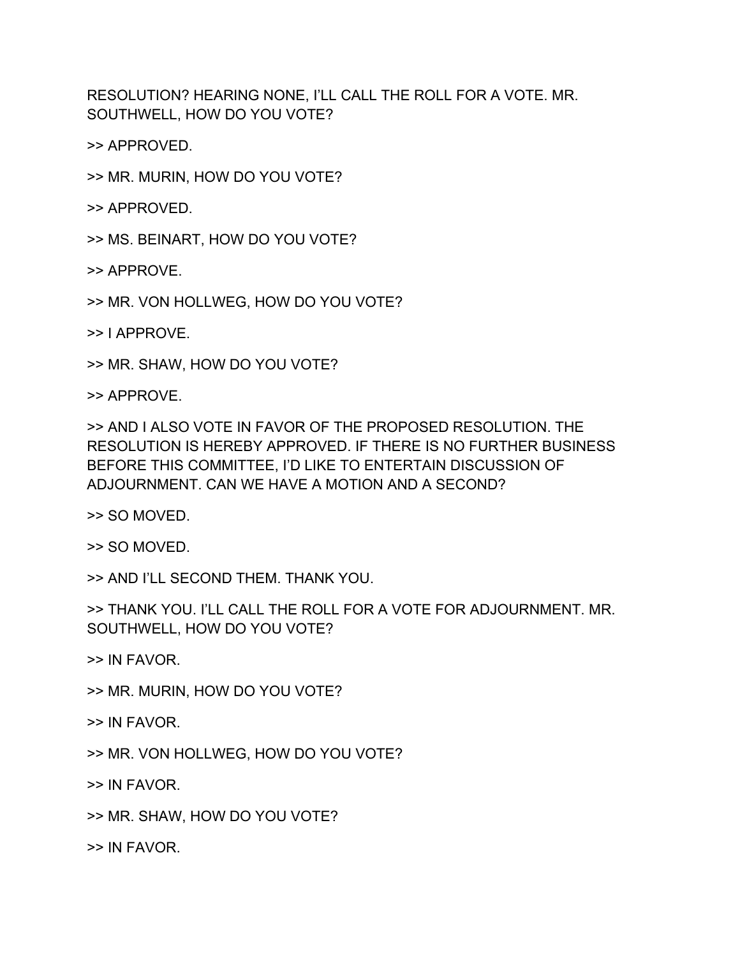RESOLUTION? HEARING NONE, I'LL CALL THE ROLL FOR A VOTE. MR. SOUTHWELL, HOW DO YOU VOTE?

>> APPROVED.

>> MR. MURIN, HOW DO YOU VOTE?

>> APPROVED.

>> MS. BEINART, HOW DO YOU VOTE?

>> APPROVE.

>> MR. VON HOLLWEG, HOW DO YOU VOTE?

>> I APPROVE.

>> MR. SHAW, HOW DO YOU VOTE?

>> APPROVE.

>> AND I ALSO VOTE IN FAVOR OF THE PROPOSED RESOLUTION. THE RESOLUTION IS HEREBY APPROVED. IF THERE IS NO FURTHER BUSINESS BEFORE THIS COMMITTEE, I'D LIKE TO ENTERTAIN DISCUSSION OF ADJOURNMENT. CAN WE HAVE A MOTION AND A SECOND?

>> SO MOVED.

>> SO MOVED.

>> AND I'LL SECOND THEM. THANK YOU.

>> THANK YOU. I'LL CALL THE ROLL FOR A VOTE FOR ADJOURNMENT. MR. SOUTHWELL, HOW DO YOU VOTE?

>> IN FAVOR.

- >> MR. MURIN, HOW DO YOU VOTE?
- >> IN FAVOR.
- >> MR. VON HOLLWEG, HOW DO YOU VOTE?

>> IN FAVOR.

>> MR. SHAW, HOW DO YOU VOTE?

>> IN FAVOR.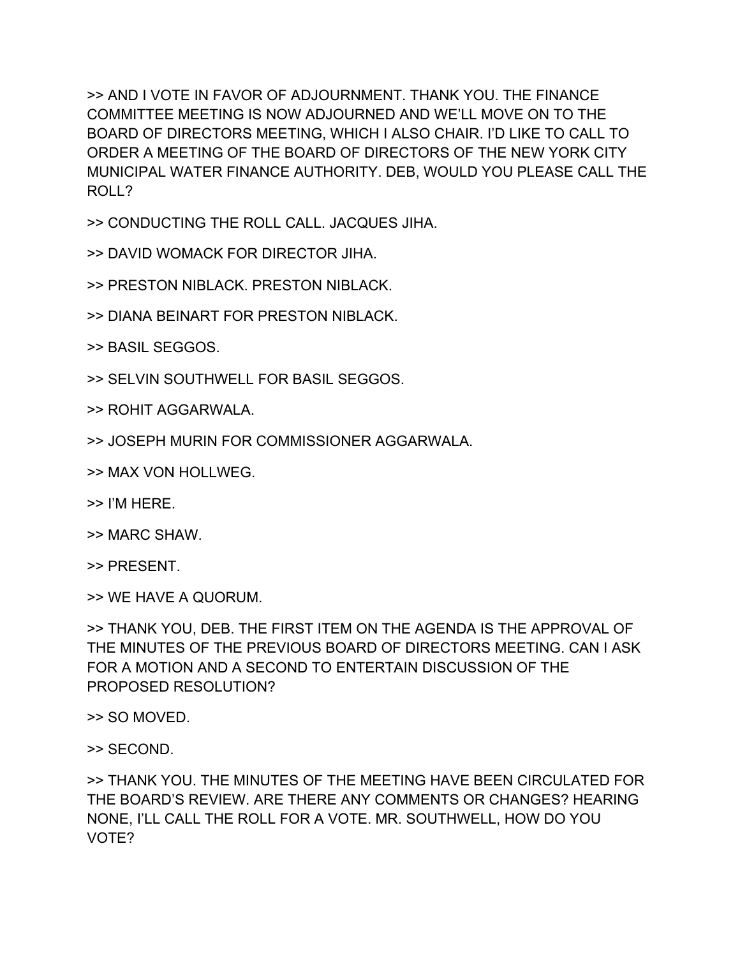>> AND I VOTE IN FAVOR OF ADJOURNMENT. THANK YOU. THE FINANCE COMMITTEE MEETING IS NOW ADJOURNED AND WE'LL MOVE ON TO THE BOARD OF DIRECTORS MEETING, WHICH I ALSO CHAIR. I'D LIKE TO CALL TO ORDER A MEETING OF THE BOARD OF DIRECTORS OF THE NEW YORK CITY MUNICIPAL WATER FINANCE AUTHORITY. DEB, WOULD YOU PLEASE CALL THE ROLL?

>> CONDUCTING THE ROLL CALL. JACQUES JIHA.

>> DAVID WOMACK FOR DIRECTOR JIHA.

>> PRESTON NIBLACK. PRESTON NIBLACK.

>> DIANA BEINART FOR PRESTON NIBLACK.

>> BASIL SEGGOS.

>> SELVIN SOUTHWELL FOR BASIL SEGGOS.

>> ROHIT AGGARWALA.

>> JOSEPH MURIN FOR COMMISSIONER AGGARWALA.

>> MAX VON HOLLWEG.

>> I'M HERE.

>> MARC SHAW.

>> PRESENT.

>> WE HAVE A QUORUM.

>> THANK YOU, DEB. THE FIRST ITEM ON THE AGENDA IS THE APPROVAL OF THE MINUTES OF THE PREVIOUS BOARD OF DIRECTORS MEETING. CAN I ASK FOR A MOTION AND A SECOND TO ENTERTAIN DISCUSSION OF THE PROPOSED RESOLUTION?

>> SO MOVED.

>> SECOND.

>> THANK YOU. THE MINUTES OF THE MEETING HAVE BEEN CIRCULATED FOR THE BOARD'S REVIEW. ARE THERE ANY COMMENTS OR CHANGES? HEARING NONE, I'LL CALL THE ROLL FOR A VOTE. MR. SOUTHWELL, HOW DO YOU VOTE?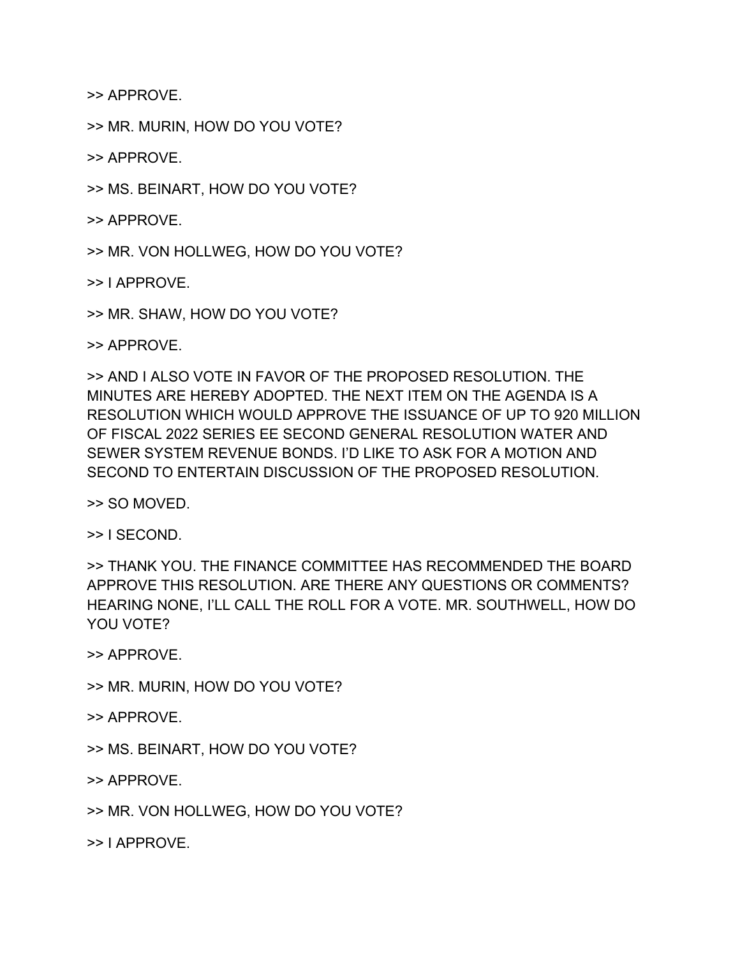>> APPROVE.

>> MR. MURIN, HOW DO YOU VOTE?

>> APPROVE.

>> MS. BEINART, HOW DO YOU VOTE?

>> APPROVE.

>> MR. VON HOLLWEG, HOW DO YOU VOTE?

>> I APPROVE.

>> MR. SHAW, HOW DO YOU VOTE?

>> APPROVE.

>> AND I ALSO VOTE IN FAVOR OF THE PROPOSED RESOLUTION. THE MINUTES ARE HEREBY ADOPTED. THE NEXT ITEM ON THE AGENDA IS A RESOLUTION WHICH WOULD APPROVE THE ISSUANCE OF UP TO 920 MILLION OF FISCAL 2022 SERIES EE SECOND GENERAL RESOLUTION WATER AND SEWER SYSTEM REVENUE BONDS. I'D LIKE TO ASK FOR A MOTION AND SECOND TO ENTERTAIN DISCUSSION OF THE PROPOSED RESOLUTION.

>> SO MOVED.

>> I SECOND.

>> THANK YOU. THE FINANCE COMMITTEE HAS RECOMMENDED THE BOARD APPROVE THIS RESOLUTION. ARE THERE ANY QUESTIONS OR COMMENTS? HEARING NONE, I'LL CALL THE ROLL FOR A VOTE. MR. SOUTHWELL, HOW DO YOU VOTE?

>> APPROVE.

>> MR. MURIN, HOW DO YOU VOTE?

>> APPROVE.

>> MS. BEINART, HOW DO YOU VOTE?

>> APPROVE.

>> MR. VON HOLLWEG, HOW DO YOU VOTE?

>> I APPROVE.